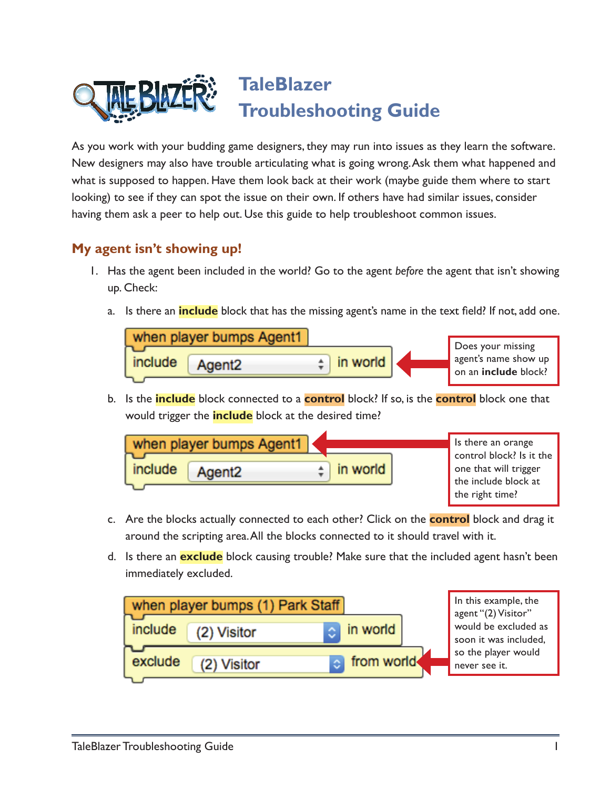# **TaleBlazer Troubleshooting Guide**

As you work with your budding game designers, they may run into issues as they learn the software. New designers may also have trouble articulating what is going wrong. Ask them what happened and what is supposed to happen. Have them look back at their work (maybe guide them where to start looking) to see if they can spot the issue on their own. If others have had similar issues, consider having them ask a peer to help out. Use this guide to help troubleshoot common issues.

# **My agent isn't showing up!**

- 1. Has the agent been included in the world? Go to the agent *before* the agent that isn't showing up. Check:
	- a. Is there an **include** block that has the missing agent's name in the text field? If not, add one.



b. Is the **include** block connected to a **control** block? If so, is the **control** block one that would trigger the **include** block at the desired time?



- c. Are the blocks actually connected to each other? Click on the **control** block and drag it around the scripting area. All the blocks connected to it should travel with it.
- d. Is there an **exclude** block causing trouble? Make sure that the included agent hasn't been immediately excluded.

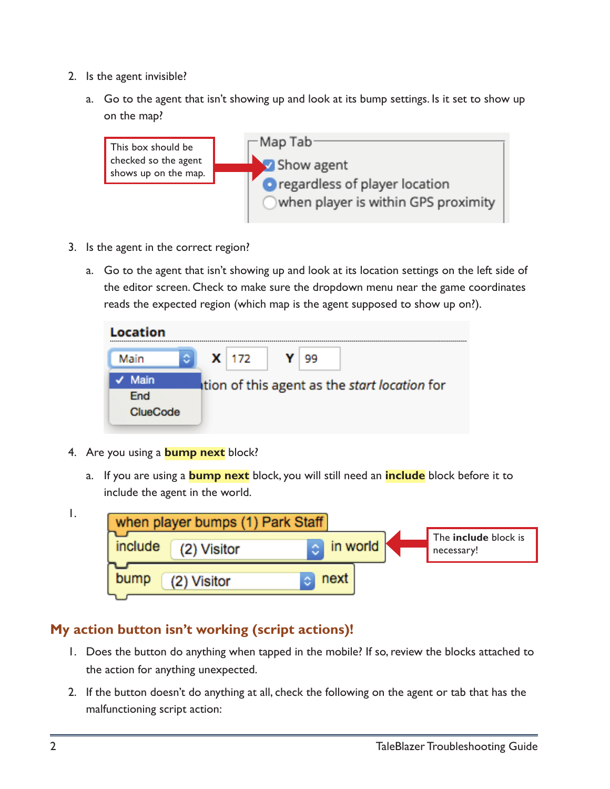- 2. Is the agent invisible?
	- a. Go to the agent that isn't showing up and look at its bump settings. Is it set to show up on the map?



- 3. Is the agent in the correct region?
	- a. Go to the agent that isn't showing up and look at its location settings on the left side of the editor screen. Check to make sure the dropdown menu near the game coordinates reads the expected region (which map is the agent supposed to show up on?).

| Location                       |   |              |    |                                              |
|--------------------------------|---|--------------|----|----------------------------------------------|
| Main                           | ٥ | <b>X</b> 172 | 99 |                                              |
| Main<br><b>End</b><br>ClueCode |   |              |    | tion of this agent as the start location for |

- 4. Are you using a **bump next** block?
	- a. If you are using a **bump next** block, you will still need an **include** block before it to include the agent in the world.



## **My action button isn't working (script actions)!**

- 1. Does the button do anything when tapped in the mobile? If so, review the blocks attached to the action for anything unexpected.
- 2. If the button doesn't do anything at all, check the following on the agent or tab that has the malfunctioning script action: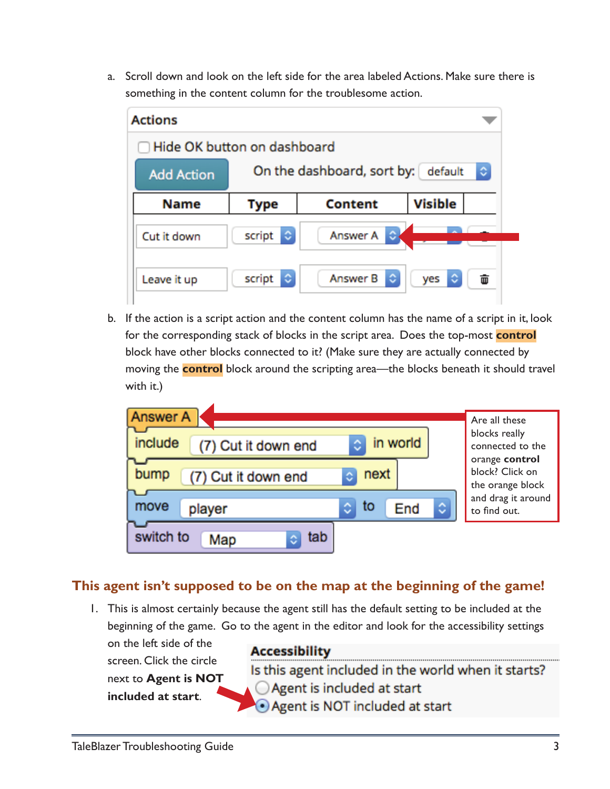a. Scroll down and look on the left side for the area labeled Actions. Make sure there is something in the content column for the troublesome action.

| <b>Actions</b>              |                                         |               |                |   |  |  |
|-----------------------------|-----------------------------------------|---------------|----------------|---|--|--|
| Hide OK button on dashboard |                                         |               |                |   |  |  |
| <b>Add Action</b>           | On the dashboard, sort by: default<br>٠ |               |                |   |  |  |
| <b>Name</b>                 | Type                                    | Content       | <b>Visible</b> |   |  |  |
| Cut it down                 | script<br>٠                             | Answer A<br>٥ |                |   |  |  |
| Leave it up                 | script<br>۰                             | Answer B<br>٥ | yes            | 靣 |  |  |

b. If the action is a script action and the content column has the name of a script in it, look for the corresponding stack of blocks in the script area. Does the top-most **control** block have other blocks connected to it? (Make sure they are actually connected by moving the **control** block around the scripting area—the blocks beneath it should travel with it.)

| <b>Answer A</b><br>include<br>in world<br>$\hat{\mathbb{C}}$<br>(7) Cut it down end | Are all these<br>blocks really<br>connected to the<br>orange control |
|-------------------------------------------------------------------------------------|----------------------------------------------------------------------|
| next<br>bump<br>ô<br>(7) Cut it down end                                            | block? Click on<br>the orange block                                  |
| ¢<br>٥<br>move<br>to<br>End<br>player                                               | and drag it around<br>to find out.                                   |
| switch to<br>tab<br>Map                                                             |                                                                      |

## **This agent isn't supposed to be on the map at the beginning of the game!**

1. This is almost certainly because the agent still has the default setting to be included at the beginning of the game. Go to the agent in the editor and look for the accessibility settings

on the left side of the screen. Click the circle next to **Agent is NOT included at start**.

#### **Accessibility**

Is this agent included in the world when it starts? ◯ Agent is included at start Agent is NOT included at start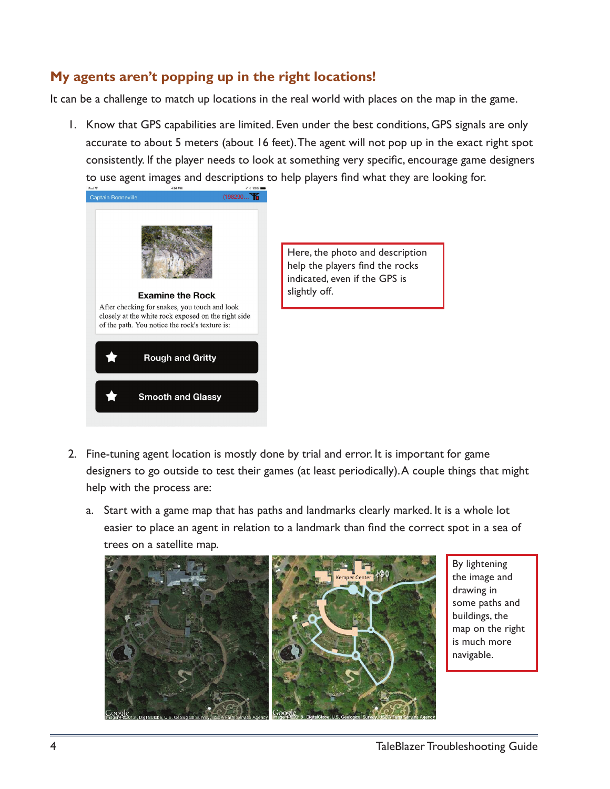## **My agents aren't popping up in the right locations!**

It can be a challenge to match up locations in the real world with places on the map in the game.

1. Know that GPS capabilities are limited. Even under the best conditions, GPS signals are only accurate to about 5 meters (about 16 feet). The agent will not pop up in the exact right spot consistently. If the player needs to look at something very specific, encourage game designers to use agent images and descriptions to help players find what they are looking for.



Here, the photo and description help the players find the rocks indicated, even if the GPS is slightly off.

- 2. Fine-tuning agent location is mostly done by trial and error. It is important for game designers to go outside to test their games (at least periodically). A couple things that might help with the process are:
	- a. Start with a game map that has paths and landmarks clearly marked. It is a whole lot easier to place an agent in relation to a landmark than find the correct spot in a sea of trees on a satellite map.



By lightening the image and drawing in some paths and buildings, the map on the right is much more navigable.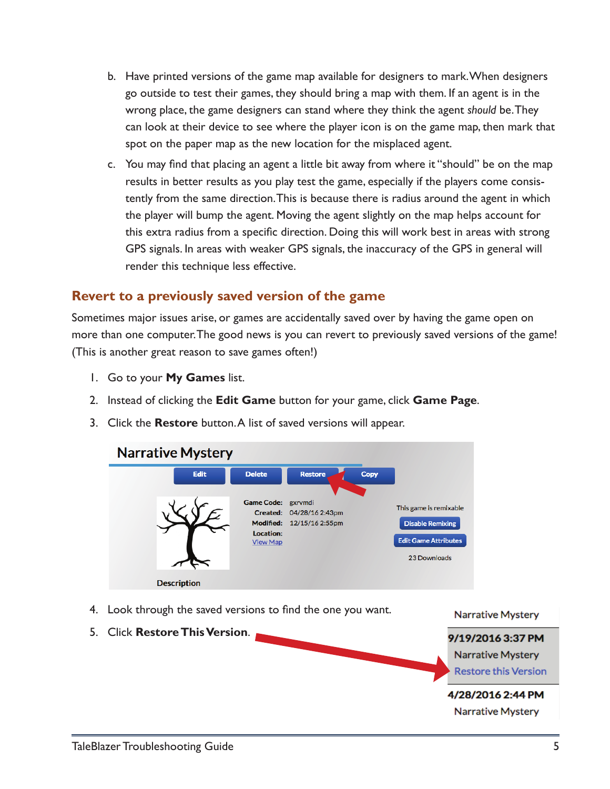- b. Have printed versions of the game map available for designers to mark. When designers go outside to test their games, they should bring a map with them. If an agent is in the wrong place, the game designers can stand where they think the agent *should* be. They can look at their device to see where the player icon is on the game map, then mark that spot on the paper map as the new location for the misplaced agent.
- c. You may find that placing an agent a little bit away from where it "should" be on the map results in better results as you play test the game, especially if the players come consistently from the same direction. This is because there is radius around the agent in which the player will bump the agent. Moving the agent slightly on the map helps account for this extra radius from a specific direction. Doing this will work best in areas with strong GPS signals. In areas with weaker GPS signals, the inaccuracy of the GPS in general will render this technique less effective.

### **Revert to a previously saved version of the game**

Sometimes major issues arise, or games are accidentally saved over by having the game open on more than one computer. The good news is you can revert to previously saved versions of the game! (This is another great reason to save games often!)

- 1. Go to your **My Games** list.
- 2. Instead of clicking the **Edit Game** button for your game, click **Game Page**.
- 3. Click the **Restore** button. A list of saved versions will appear.

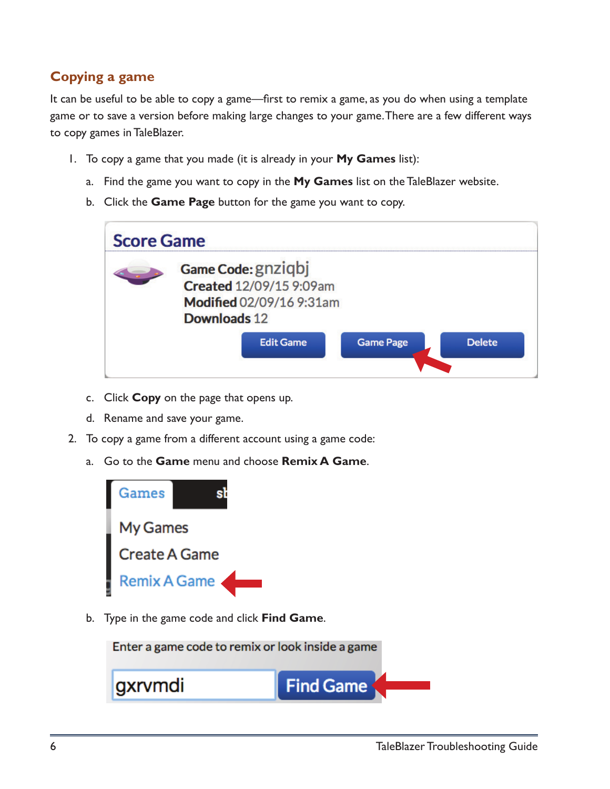## **Copying a game**

It can be useful to be able to copy a game—first to remix a game, as you do when using a template game or to save a version before making large changes to your game. There are a few different ways to copy games in TaleBlazer.

- 1. To copy a game that you made (it is already in your **My Games** list):
	- a. Find the game you want to copy in the **My Games** list on the TaleBlazer website.
	- b. Click the **Game Page** button for the game you want to copy.

| <b>Score Game</b> |                                    |                                                     |                  |               |
|-------------------|------------------------------------|-----------------------------------------------------|------------------|---------------|
|                   | Game Code: gnziqbj<br>Downloads 12 | Created 12/09/15 9:09am<br>Modified 02/09/16 9:31am |                  |               |
|                   |                                    | <b>Edit Game</b>                                    | <b>Game Page</b> | <b>Delete</b> |

- c. Click **Copy** on the page that opens up.
- d. Rename and save your game.
- 2. To copy a game from a different account using a game code:
	- a. Go to the **Game** menu and choose **Remix A Game**.



b. Type in the game code and click **Find Game**.